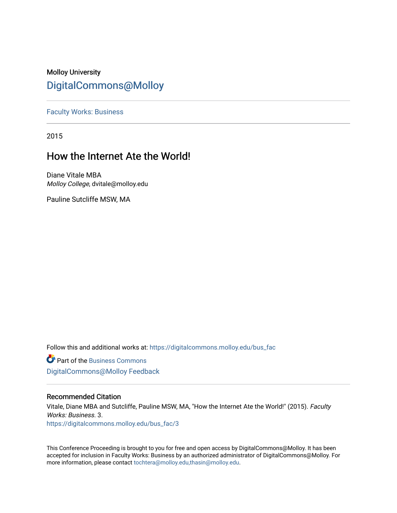# Molloy University [DigitalCommons@Molloy](https://digitalcommons.molloy.edu/)

[Faculty Works: Business](https://digitalcommons.molloy.edu/bus_fac) 

2015

# How the Internet Ate the World!

Diane Vitale MBA Molloy College, dvitale@molloy.edu

Pauline Sutcliffe MSW, MA

Follow this and additional works at: [https://digitalcommons.molloy.edu/bus\\_fac](https://digitalcommons.molloy.edu/bus_fac?utm_source=digitalcommons.molloy.edu%2Fbus_fac%2F3&utm_medium=PDF&utm_campaign=PDFCoverPages)

**C** Part of the [Business Commons](https://network.bepress.com/hgg/discipline/622?utm_source=digitalcommons.molloy.edu%2Fbus_fac%2F3&utm_medium=PDF&utm_campaign=PDFCoverPages) [DigitalCommons@Molloy Feedback](https://molloy.libwizard.com/f/dcfeedback)

## Recommended Citation

Vitale, Diane MBA and Sutcliffe, Pauline MSW, MA, "How the Internet Ate the World!" (2015). Faculty Works: Business. 3. [https://digitalcommons.molloy.edu/bus\\_fac/3](https://digitalcommons.molloy.edu/bus_fac/3?utm_source=digitalcommons.molloy.edu%2Fbus_fac%2F3&utm_medium=PDF&utm_campaign=PDFCoverPages)

This Conference Proceeding is brought to you for free and open access by DigitalCommons@Molloy. It has been accepted for inclusion in Faculty Works: Business by an authorized administrator of DigitalCommons@Molloy. For more information, please contact [tochtera@molloy.edu,thasin@molloy.edu.](mailto:tochtera@molloy.edu,thasin@molloy.edu)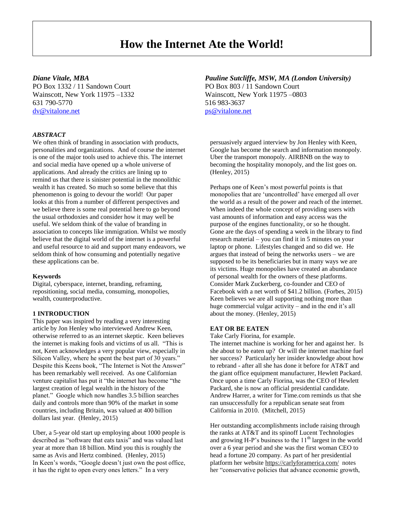# **How the Internet Ate the World!**

PO Box 1332 / 11 Sandown Court PO Box 803 / 11 Sandown Court Wainscott, New York 11975 –1332 Wainscott, New York 11975 –0803 631 790-5770 516 983-3637 [dv@vitalone.net](mailto:dv@vitalone.net) [ps@vitalone.net](mailto:ps@vitalone.net)

#### *ABSTRACT*

We often think of branding in association with products, personalities and organizations. And of course the internet is one of the major tools used to achieve this. The internet and social media have opened up a whole universe of applications. And already the critics are lining up to remind us that there is sinister potential in the monolithic wealth it has created. So much so some believe that this phenomenon is going to devour the world! Our paper looks at this from a number of different perspectives and we believe there is some real potential here to go beyond the usual orthodoxies and consider how it may well be useful. We seldom think of the value of branding in association to concepts like immigration. Whilst we mostly believe that the digital world of the internet is a powerful and useful resource to aid and support many endeavors, we seldom think of how consuming and potentially negative these applications can be.

#### **Keywords**

Digital, cyberspace, internet, branding, reframing, repositioning, social media, consuming, monopolies, wealth, counterproductive.

### **1 INTRODUCTION**

This paper was inspired by reading a very interesting article by Jon Henley who interviewed Andrew Keen, otherwise referred to as an internet skeptic. Keen believes the internet is making fools and victims of us all. "This is not, Keen acknowledges a very popular view, especially in Silicon Valley, where he spent the best part of 30 years." Despite this Keens book, "The Internet is Not the Answer" has been remarkably well received. As one Californian venture capitalist has put it "the internet has become "the largest creation of legal wealth in the history of the planet." Google which now handles 3.5 billion searches daily and controls more than 90% of the market in some countries, including Britain, was valued at 400 billion dollars last year. (Henley, 2015)

Uber, a 5-year old start up employing about 1000 people is described as "software that eats taxis" and was valued last year at more than 18 billion. Mind you this is roughly the same as Avis and Hertz combined. (Henley, 2015) In Keen's words, "Google doesn't just own the post office, it has the right to open every ones letters." In a very

### *Diane Vitale, MBA Pauline Sutcliffe, MSW, MA (London University)*

persuasively argued interview by Jon Henley with Keen, Google has become the search and information monopoly. Uber the transport monopoly. AIRBNB on the way to becoming the hospitality monopoly, and the list goes on. (Henley, 2015)

Perhaps one of Keen's most powerful points is that monopolies that are 'uncontrolled' have emerged all over the world as a result of the power and reach of the internet. When indeed the whole concept of providing users with vast amounts of information and easy access was the purpose of the engines functionality, or so he thought. Gone are the days of spending a week in the library to find research material – you can find it in 5 minutes on your laptop or phone. Lifestyles changed and so did we. He argues that instead of being the networks users – we are supposed to be its beneficiaries but in many ways we are its victims. Huge monopolies have created an abundance of personal wealth for the owners of these platforms. Consider Mark Zuckerberg, co-founder and CEO of Facebook with a net worth of \$41.2 billion. (Forbes, 2015) Keen believes we are all supporting nothing more than huge commercial vulgar activity – and in the end it's all about the money. (Henley, 2015)

#### **EAT OR BE EATEN**

Take Carly Fiorina, for example.

The internet machine is working for her and against her. Is she about to be eaten up? Or will the internet machine fuel her success? Particularly her insider knowledge about how to rebrand - after all she has done it before for AT&T and the giant office equipment manufacturer, Hewlett Packard. Once upon a time Carly Fiorina, was the CEO of Hewlett Packard, she is now an official presidential candidate. Andrew Harrer, a writer for Time.com reminds us that she ran unsuccessfully for a republican senate seat from California in 2010. (Mitchell, 2015)

Her outstanding accomplishments include raising through the ranks at AT&T and its spinoff Lucent Technologies and growing H-P's business to the  $11<sup>th</sup>$  largest in the world over a 6 year period and she was the first woman CEO to head a fortune 20 company. As part of her presidential platform her website<https://carlyforamerica.com/>notes her "conservative policies that advance economic growth,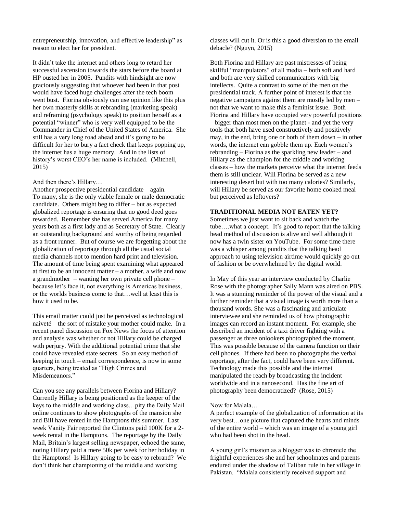entrepreneurship, innovation, and effective leadership" as reason to elect her for president.

It didn't take the internet and others long to retard her successful ascension towards the stars before the board at HP ousted her in 2005. Pundits with hindsight are now graciously suggesting that whoever had been in that post would have faced huge challenges after the tech boom went bust. Fiorina obviously can use opinion like this plus her own masterly skills at rebranding (marketing speak) and reframing (psychology speak) to position herself as a potential "winner" who is very well equipped to be the Commander in Chief of the United States of America. She still has a very long road ahead and it's going to be difficult for her to bury a fact check that keeps popping up, the internet has a huge memory. And in the lists of history's worst CEO's her name is included. (Mitchell, 2015)

#### And then there's Hillary…

Another prospective presidential candidate – again. To many, she is the only viable female or male democratic candidate. Others might beg to differ – but as expected globalized reportage is ensuring that no good deed goes rewarded. Remember she has served America for many years both as a first lady and as Secretary of State. Clearly an outstanding background and worthy of being regarded as a front runner. But of course we are forgetting about the globalization of reportage through all the usual social media channels not to mention hard print and television. The amount of time being spent examining what appeared at first to be an innocent matter – a mother, a wife and now a grandmother – wanting her own private cell phone – because let's face it, not everything is Americas business, or the worlds business come to that…well at least this is how it used to be.

This email matter could just be perceived as technological naiveté – the sort of mistake your mother could make. In a recent panel discussion on Fox News the focus of attention and analysis was whether or not Hillary could be charged with perjury. With the additional potential crime that she could have revealed state secrets. So an easy method of keeping in touch – email correspondence, is now in some quarters, being treated as "High Crimes and Misdemeanors."

Can you see any parallels between Fiorina and Hillary? Currently Hillary is being positioned as the keeper of the keys to the middle and working class…pity the Daily Mail online continues to show photographs of the mansion she and Bill have rented in the Hamptons this summer. Last week Vanity Fair reported the Clintons paid 100K for a 2 week rental in the Hamptons. The reportage by the Daily Mail, Britain's largest selling newspaper, echoed the same, noting Hillary paid a mere 50k per week for her holiday in the Hamptons! Is Hillary going to be easy to rebrand? We don't think her championing of the middle and working

classes will cut it. Or is this a good diversion to the email debacle? (Nguyn, 2015)

Both Fiorina and Hillary are past mistresses of being skillful "manipulators" of all media – both soft and hard and both are very skilled communicators with big intellects. Quite a contrast to some of the men on the presidential track. A further point of interest is that the negative campaigns against them are mostly led by men – not that we want to make this a feminist issue. Both Fiorina and Hillary have occupied very powerful positions – bigger than most men on the planet - and yet the very tools that both have used constructively and positively may, in the end, bring one or both of them down – in other words, the internet can gobble them up. Each women's rebranding – Fiorina as the sparkling new leader – and Hillary as the champion for the middle and working classes – how the markets perceive what the internet feeds them is still unclear. Will Fiorina be served as a new interesting desert but with too many calories? Similarly, will Hillary be served as our favorite home cooked meal but perceived as leftovers?

#### **TRADITIONAL MEDIA NOT EATEN YET?**

Sometimes we just want to sit back and watch the tube….what a concept. It's good to report that the talking head method of discussion is alive and well although it now has a twin sister on YouTube. For some time there was a whisper among pundits that the talking head approach to using television airtime would quickly go out of fashion or be overwhelmed by the digital world.

In May of this year an interview conducted by Charlie Rose with the photographer Sally Mann was aired on PBS. It was a stunning reminder of the power of the visual and a further reminder that a visual image is worth more than a thousand words. She was a fascinating and articulate interviewee and she reminded us of how photographic images can record an instant moment. For example, she described an incident of a taxi driver fighting with a passenger as three onlookers photographed the moment. This was possible because of the camera function on their cell phones. If there had been no photographs the verbal reportage, after the fact, could have been very different. Technology made this possible and the internet manipulated the reach by broadcasting the incident worldwide and in a nanosecond. Has the fine art of photography been democratized? (Rose, 2015)

#### Now for Malala…

A perfect example of the globalization of information at its very best…one picture that captured the hearts and minds of the entire world – which was an image of a young girl who had been shot in the head.

A young girl's mission as a blogger was to chronicle the frightful experiences she and her schoolmates and parents endured under the shadow of Taliban rule in her village in Pakistan. "Malala consistently received support and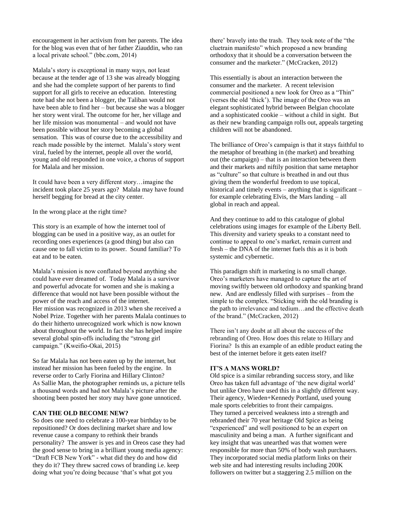encouragement in her activism from her parents. The idea for the blog was even that of her father Ziauddin, who ran a local private school." (bbc.com, 2014)

Malala's story is exceptional in many ways, not least because at the tender age of 13 she was already blogging and she had the complete support of her parents to find support for all girls to receive an education. Interesting note had she not been a blogger, the Taliban would not have been able to find her – but because she was a blogger her story went viral. The outcome for her, her village and her life mission was monumental – and would not have been possible without her story becoming a global sensation. This was of course due to the accessibility and reach made possible by the internet. Malala's story went viral, fueled by the internet, people all over the world, young and old responded in one voice, a chorus of support for Malala and her mission.

It could have been a very different story…imagine the incident took place 25 years ago? Malala may have found herself begging for bread at the city center.

In the wrong place at the right time?

This story is an example of how the internet tool of blogging can be used in a positive way, as an outlet for recording ones experiences (a good thing) but also can cause one to fall victim to its power. Sound familiar? To eat and to be eaten.

Malala's mission is now conflated beyond anything she could have ever dreamed of. Today Malala is a survivor and powerful advocate for women and she is making a difference that would not have been possible without the power of the reach and access of the internet. Her mission was recognized in 2013 when she received a Nobel Prize. Together with her parents Malala continues to do their hitherto unrecognized work which is now known about throughout the world. In fact she has helped inspire several global spin-offs including the "strong girl campaign." (Kweifio-Okai, 2015)

So far Malala has not been eaten up by the internet, but instead her mission has been fueled by the engine. In reverse order to Carly Fiorina and Hillary Clinton? As Sallie Man, the photographer reminds us, a picture tells a thousand words and had not Malala's picture after the shooting been posted her story may have gone unnoticed.

## **CAN THE OLD BECOME NEW?**

So does one need to celebrate a 100-year birthday to be repositioned? Or does declining market share and low revenue cause a company to rethink their brands personality? The answer is yes and in Oreos case they had the good sense to bring in a brilliant young media agency: "Draft FCB New York" - what did they do and how did they do it? They threw sacred cows of branding i.e. keep doing what you're doing because 'that's what got you

there' bravely into the trash. They took note of the "the cluetrain manifesto" which proposed a new branding orthodoxy that it should be a conversation between the consumer and the marketer." [\(McCracken,](https://hbr.org/search?term=grant+mccracken) 2012)

This essentially is about an interaction between the consumer and the marketer. A recent television commercial positioned a new look for Oreo as a "Thin" (verses the old 'thick'). The image of the Oreo was an elegant sophisticated hybrid between Belgian chocolate and a sophisticated cookie – without a child in sight. But as their new branding campaign rolls out, appeals targeting children will not be abandoned.

The brilliance of Oreo's campaign is that it stays faithful to the metaphor of breathing in (the market) and breathing out (the campaign) – that is an interaction between them and their markets and niftily position that same metaphor as "culture" so that culture is breathed in and out thus giving them the wonderful freedom to use topical, historical and timely events – anything that is significant – for example celebrating Elvis, the Mars landing – all global in reach and appeal.

And they continue to add to this catalogue of global celebrations using images for example of the Liberty Bell. This diversity and variety speaks to a constant need to continue to appeal to one's market, remain current and fresh – the DNA of the internet fuels this as it is both systemic and cybernetic.

This paradigm shift in marketing is no small change. Oreo's marketers have managed to capture the art of moving swiftly between old orthodoxy and spanking brand new. And are endlessly filled with surprises – from the simple to the complex. "Sticking with the old branding is the path to irrelevance and tedium…and the effective death of the brand." [\(McCracken,](https://hbr.org/search?term=grant+mccracken) 2012)

There isn't any doubt at all about the success of the rebranding of Oreo. How does this relate to Hillary and Fiorina? Is this an example of an edible product eating the best of the internet before it gets eaten itself?

### **IT'S A MANS WORLD?**

Old spice is a similar rebranding success story, and like Oreo has taken full advantage of 'the new digital world' but unlike Oreo have used this in a slightly different way. Their agency, Wieden+Kennedy Portland, used young male sports celebrities to front their campaigns. They turned a perceived weakness into a strength and rebranded their 70 year heritage Old Spice as being "experienced" and well positioned to be an expert on masculinity and being a man. A further significant and key insight that was unearthed was that women were responsible for more than 50% of body wash purchasers. They incorporated social media platform links on their web site and had interesting results including 200K followers on twitter but a staggering 2.5 million on the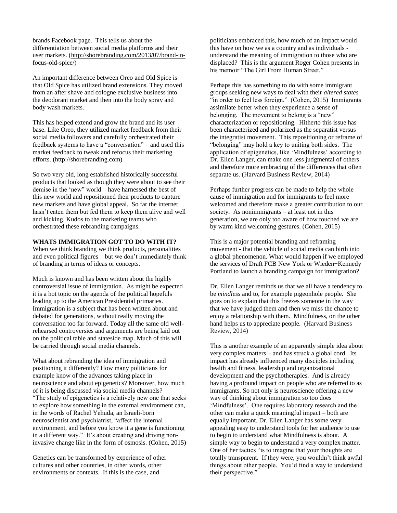brands Facebook page. This tells us about the differentiation between social media platforms and their user markets. [\(http://shorebranding.com/2013/07/brand-in](http://shorebranding.com/2013/07/brand-in-focus-old-spice/)[focus-old-spice/\)](http://shorebranding.com/2013/07/brand-in-focus-old-spice/)

An important difference between Oreo and Old Spice is that Old Spice has utilized brand extensions. They moved from an after shave and cologne exclusive business into the deodorant market and then into the body spray and body wash markets.

This has helped extend and grow the brand and its user base. Like Oreo, they utilized market feedback from their social media followers and carefully orchestrated their feedback systems to have a "conversation" – and used this market feedback to tweak and refocus their marketing efforts. (http://shorebranding.com)

So two very old, long established historically successful products that looked as though they were about to see their demise in the 'new" world – have harnessed the best of this new world and repositioned their products to capture new markets and have global appeal. So far the internet hasn't eaten them but fed them to keep them alive and well and kicking. Kudos to the marketing teams who orchestrated these rebranding campaigns.

#### **WHATS IMMIGRATION GOT TO DO WITH IT?**

When we think branding we think products, personalities and even political figures – but we don't immediately think of branding in terms of ideas or concepts.

Much is known and has been written about the highly controversial issue of immigration. As might be expected it is a hot topic on the agenda of the political hopefuls leading up to the American Presidential primaries. Immigration is a subject that has been written about and debated for generations, without really moving the conversation too far forward. Today all the same old wellrehearsed controversies and arguments are being laid out on the political table and stateside map. Much of this will be carried through social media channels.

What about rebranding the idea of immigration and positioning it differently? How many politicians for example know of the advances taking place in neuroscience and about epigenetics? Moreover, how much of it is being discussed via social media channels? "The study of epigenetics is a relatively new one that seeks to explore how something in the external environment can, in the words of Rachel Yehuda, an Israeli-born neuroscientist and psychiatrist, "affect the internal environment, and before you know it a gene is functioning in a different way." It's about creating and driving noninvasive change like in the form of osmosis. (Cohen, 2015)

Genetics can be transformed by experience of other cultures and other countries, in other words, other environments or contexts. If this is the case, and

politicians embraced this, how much of an impact would this have on how we as a country and as individuals understand the meaning of immigration to those who are displaced? This is the argument Roger Cohen presents in his memoir "The Girl From Human Street."

Perhaps this has something to do with some immigrant groups seeking new ways to deal with their *altered states* "in order to feel less foreign." (Cohen, 2015) Immigrants assimilate better when they experience a sense of belonging. The movement to belong is a "new" characterization or repositioning. Hitherto this issue has been characterized and polarized as the separatist versus the integratist movement. This repositioning or reframe of "belonging" may hold a key to uniting both sides. The application of epigenetics, like 'Mindfulness' according to Dr. Ellen Langer, can make one less judgmental of others and therefore more embracing of the differences that often separate us. (Harvard Business Review, 2014)

Perhaps further progress can be made to help the whole cause of immigration and for immigrants to feel more welcomed and therefore make a greater contribution to our society. As nonimmigrants – at least not in this generation, we are only too aware of how touched we are by warm kind welcoming gestures. (Cohen, 2015)

This is a major potential branding and reframing movement - that the vehicle of social media can birth into a global phenomenon. What would happen if we employed the services of Draft FCB New York or Wieden+Kennedy Portland to launch a branding campaign for immigration?

Dr. Ellen Langer reminds us that we all have a tendency to be *mindless* and to, for example pigeonhole people. She goes on to explain that this freezes someone in the way that we have judged them and then we miss the chance to enjoy a relationship with them. Mindfulness, on the other hand helps us to appreciate people. (Harvard Business Review, 2014)

This is another example of an apparently simple idea about very complex matters – and has struck a global cord. Its impact has already influenced many disciples including health and fitness, leadership and organizational development and the psychotherapies. And is already having a profound impact on people who are referred to as immigrants. So not only is neuroscience offering a new way of thinking about immigration so too does 'Mindfulness'. One requires laboratory research and the other can make a quick meaningful impact – both are equally important. Dr. Ellen Langer has some very appealing easy to understand tools for her audience to use to begin to understand what Mindfulness is about. A simple way to begin to understand a very complex matter. One of her tactics "is to imagine that your thoughts are totally transparent. If they were, you wouldn't think awful things about other people. You'd find a way to understand their perspective."